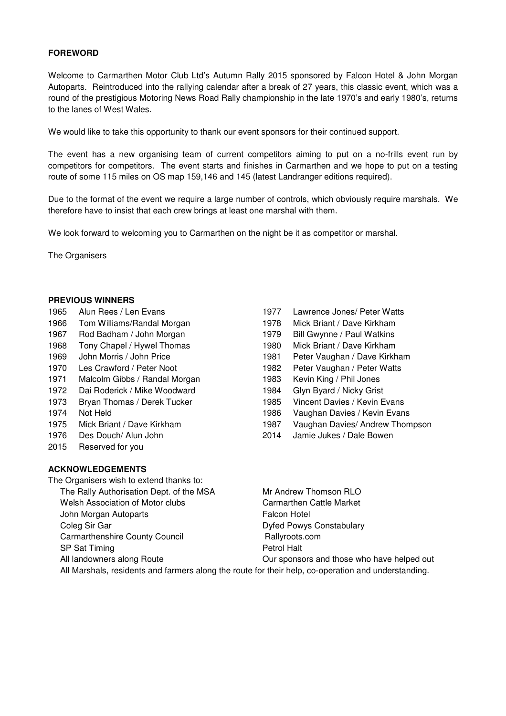## **FOREWORD**

Welcome to Carmarthen Motor Club Ltd's Autumn Rally 2015 sponsored by Falcon Hotel & John Morgan Autoparts. Reintroduced into the rallying calendar after a break of 27 years, this classic event, which was a round of the prestigious Motoring News Road Rally championship in the late 1970's and early 1980's, returns to the lanes of West Wales.

We would like to take this opportunity to thank our event sponsors for their continued support.

The event has a new organising team of current competitors aiming to put on a no-frills event run by competitors for competitors. The event starts and finishes in Carmarthen and we hope to put on a testing route of some 115 miles on OS map 159,146 and 145 (latest Landranger editions required).

Due to the format of the event we require a large number of controls, which obviously require marshals. We therefore have to insist that each crew brings at least one marshal with them.

We look forward to welcoming you to Carmarthen on the night be it as competitor or marshal.

The Organisers

#### **PREVIOUS WINNERS**

- 
- 
- 1967 Rod Badham / John Morgan 1979 Bill Gwynne / Paul Watkins
- 1968 Tony Chapel / Hywel Thomas 1980 Mick Briant / Dave Kirkham
- 1969 John Morris / John Price 1981 Peter Vaughan / Dave Kirkham
- 1970 Les Crawford / Peter Noot 1982 Peter Vaughan / Peter Watts
- 1971 Malcolm Gibbs / Randal Morgan 1983 Kevin King / Phil Jones
- 1972 Dai Roderick / Mike Woodward 1984 Glyn Byard / Nicky Grist
- 1973 Bryan Thomas / Derek Tucker 1985 Vincent Davies / Kevin Evans
- 
- 
- 
- 2015 Reserved for you

### **ACKNOWLEDGEMENTS**

- The Organisers wish to extend thanks to:
	- The Rally Authorisation Dept. of the MSA Mr Andrew Thomson RLO
	- Welsh Association of Motor clubs Carmarthen Cattle Market
	- John Morgan Autoparts **Falcon Hotel**
	-
	- Carmarthenshire County Council **Example 20 Fig. 2018** Rallyroots.com
	- SP Sat Timing **Petrol Halt**
	-
- 1965 Alun Rees / Len Evans 1977 Lawrence Jones/ Peter Watts
- 1966 Tom Williams/Randal Morgan 1978 Mick Briant / Dave Kirkham
	-
	-
	-
	-
	-
	-
	-
- 1974 Not Held 1986 Vaughan Davies / Kevin Evans
- 1975 Mick Briant / Dave Kirkham 1987 Vaughan Davies/ Andrew Thompson
- 1976 Des Douch/ Alun John 2014 Jamie Jukes / Dale Bowen

Coleg Sir Gar **Dyfed Powys Constabulary** 

All landowners along Route **Our sponsors and those who have helped out** 

All Marshals, residents and farmers along the route for their help, co-operation and understanding.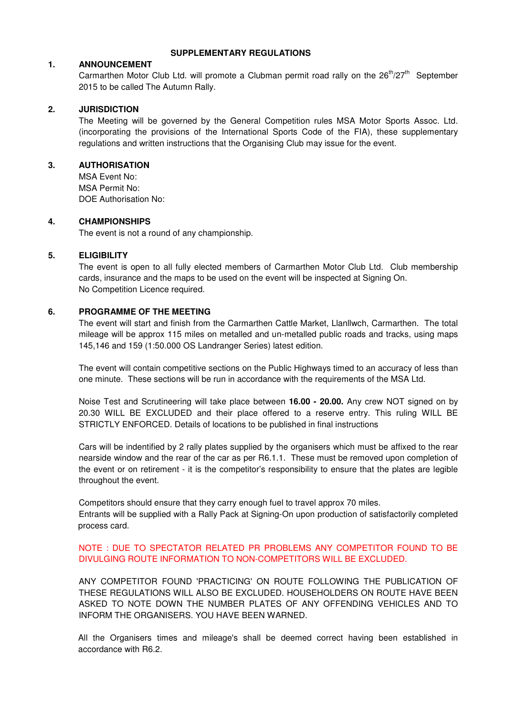#### **SUPPLEMENTARY REGULATIONS**

#### **1. ANNOUNCEMENT**

Carmarthen Motor Club Ltd. will promote a Clubman permit road rally on the  $26<sup>th</sup>/27<sup>th</sup>$  September 2015 to be called The Autumn Rally.

## **2. JURISDICTION**

The Meeting will be governed by the General Competition rules MSA Motor Sports Assoc. Ltd. (incorporating the provisions of the International Sports Code of the FIA), these supplementary regulations and written instructions that the Organising Club may issue for the event.

## **3. AUTHORISATION**

MSA Event No: MSA Permit No: DOE Authorisation No:

#### **4. CHAMPIONSHIPS**

The event is not a round of any championship.

### **5. ELIGIBILITY**

The event is open to all fully elected members of Carmarthen Motor Club Ltd. Club membership cards, insurance and the maps to be used on the event will be inspected at Signing On. No Competition Licence required.

## **6. PROGRAMME OF THE MEETING**

The event will start and finish from the Carmarthen Cattle Market, Llanllwch, Carmarthen. The total mileage will be approx 115 miles on metalled and un-metalled public roads and tracks, using maps 145,146 and 159 (1:50.000 OS Landranger Series) latest edition.

The event will contain competitive sections on the Public Highways timed to an accuracy of less than one minute. These sections will be run in accordance with the requirements of the MSA Ltd.

Noise Test and Scrutineering will take place between **16.00 - 20.00.** Any crew NOT signed on by 20.30 WILL BE EXCLUDED and their place offered to a reserve entry. This ruling WILL BE STRICTLY ENFORCED. Details of locations to be published in final instructions

Cars will be indentified by 2 rally plates supplied by the organisers which must be affixed to the rear nearside window and the rear of the car as per R6.1.1. These must be removed upon completion of the event or on retirement - it is the competitor's responsibility to ensure that the plates are legible throughout the event.

Competitors should ensure that they carry enough fuel to travel approx 70 miles. Entrants will be supplied with a Rally Pack at Signing-On upon production of satisfactorily completed process card.

# NOTE : DUE TO SPECTATOR RELATED PR PROBLEMS ANY COMPETITOR FOUND TO BE DIVULGING ROUTE INFORMATION TO NON-COMPETITORS WILL BE EXCLUDED.

ANY COMPETITOR FOUND 'PRACTICING' ON ROUTE FOLLOWING THE PUBLICATION OF THESE REGULATIONS WILL ALSO BE EXCLUDED. HOUSEHOLDERS ON ROUTE HAVE BEEN ASKED TO NOTE DOWN THE NUMBER PLATES OF ANY OFFENDING VEHICLES AND TO INFORM THE ORGANISERS. YOU HAVE BEEN WARNED.

All the Organisers times and mileage's shall be deemed correct having been established in accordance with R6.2.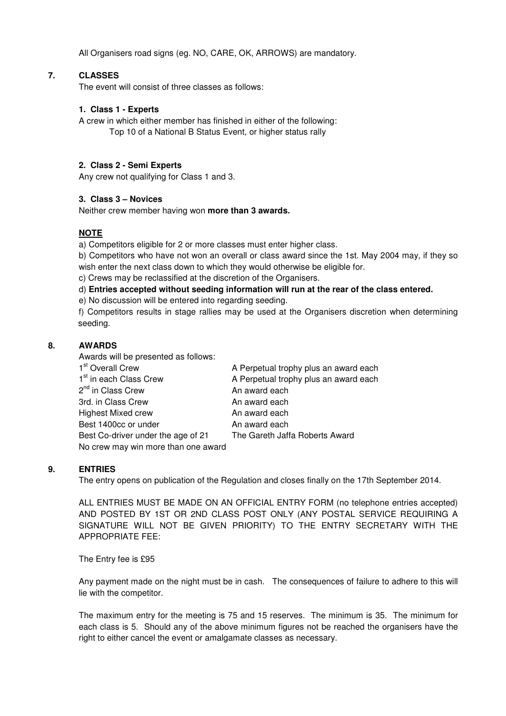All Organisers road signs (eg. NO, CARE, OK, ARROWS) are mandatory.

# **7. CLASSES**

The event will consist of three classes as follows:

## **1. Class 1 - Experts**

A crew in which either member has finished in either of the following:

Top 10 of a National B Status Event, or higher status rally

# **2. Class 2 - Semi Experts**

Any crew not qualifying for Class 1 and 3.

# **3. Class 3 – Novices**

Neither crew member having won **more than 3 awards.** 

# **NOTE**

a) Competitors eligible for 2 or more classes must enter higher class.

b) Competitors who have not won an overall or class award since the 1st. May 2004 may, if they so wish enter the next class down to which they would otherwise be eligible for.

c) Crews may be reclassified at the discretion of the Organisers.

d) **Entries accepted without seeding information will run at the rear of the class entered.**

e) No discussion will be entered into regarding seeding.

f) Competitors results in stage rallies may be used at the Organisers discretion when determining seeding.

# **8. AWARDS**

Awards will be presented as follows:

| 1 <sup>st</sup> Overall Crew        | A Perpetual trophy plus an award each |
|-------------------------------------|---------------------------------------|
| 1 <sup>st</sup> in each Class Crew  | A Perpetual trophy plus an award each |
| 2 <sup>nd</sup> in Class Crew       | An award each                         |
| 3rd. in Class Crew                  | An award each                         |
| <b>Highest Mixed crew</b>           | An award each                         |
| Best 1400cc or under                | An award each                         |
| Best Co-driver under the age of 21  | The Gareth Jaffa Roberts Award        |
| No crew may win more than one award |                                       |

# **9. ENTRIES**

The entry opens on publication of the Regulation and closes finally on the 17th September 2014.

ALL ENTRIES MUST BE MADE ON AN OFFICIAL ENTRY FORM (no telephone entries accepted) AND POSTED BY 1ST OR 2ND CLASS POST ONLY (ANY POSTAL SERVICE REQUIRING A SIGNATURE WILL NOT BE GIVEN PRIORITY) TO THE ENTRY SECRETARY WITH THE APPROPRIATE FEE:

The Entry fee is £95

Any payment made on the night must be in cash. The consequences of failure to adhere to this will lie with the competitor.

The maximum entry for the meeting is 75 and 15 reserves. The minimum is 35. The minimum for each class is 5. Should any of the above minimum figures not be reached the organisers have the right to either cancel the event or amalgamate classes as necessary.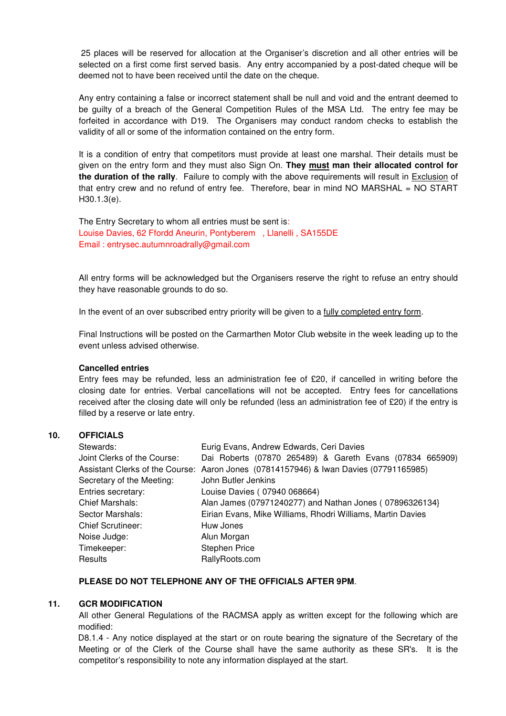25 places will be reserved for allocation at the Organiser's discretion and all other entries will be selected on a first come first served basis. Any entry accompanied by a post-dated cheque will be deemed not to have been received until the date on the cheque.

Any entry containing a false or incorrect statement shall be null and void and the entrant deemed to be guilty of a breach of the General Competition Rules of the MSA Ltd. The entry fee may be forfeited in accordance with D19. The Organisers may conduct random checks to establish the validity of all or some of the information contained on the entry form.

It is a condition of entry that competitors must provide at least one marshal. Their details must be given on the entry form and they must also Sign On. **They must man their allocated control for the duration of the rally**. Failure to comply with the above requirements will result in Exclusion of that entry crew and no refund of entry fee. Therefore, bear in mind NO MARSHAL = NO START H30.1.3(e).

The Entry Secretary to whom all entries must be sent is: Louise Davies, 62 Ffordd Aneurin, Pontyberem , Llanelli , SA155DE Email : entrysec.autumnroadrally@gmail.com

All entry forms will be acknowledged but the Organisers reserve the right to refuse an entry should they have reasonable grounds to do so.

In the event of an over subscribed entry priority will be given to a fully completed entry form.

Final Instructions will be posted on the Carmarthen Motor Club website in the week leading up to the event unless advised otherwise.

## **Cancelled entries**

Entry fees may be refunded, less an administration fee of £20, if cancelled in writing before the closing date for entries. Verbal cancellations will not be accepted. Entry fees for cancellations received after the closing date will only be refunded (less an administration fee of £20) if the entry is filled by a reserve or late entry.

# **10. OFFICIALS**

| Stewards:                   | Eurig Evans, Andrew Edwards, Ceri Davies                                              |
|-----------------------------|---------------------------------------------------------------------------------------|
| Joint Clerks of the Course: | Dai Roberts (07870 265489) & Gareth Evans (07834 665909)                              |
|                             | Assistant Clerks of the Course: Aaron Jones (07814157946) & Iwan Davies (07791165985) |
| Secretary of the Meeting:   | John Butler Jenkins                                                                   |
| Entries secretary:          | Louise Davies (07940 068664)                                                          |
| Chief Marshals:             | Alan James (07971240277) and Nathan Jones (07896326134}                               |
| Sector Marshals:            | Eirian Evans, Mike Williams, Rhodri Williams, Martin Davies                           |
| <b>Chief Scrutineer:</b>    | Huw Jones                                                                             |
| Noise Judge:                | Alun Morgan                                                                           |
| Timekeeper:                 | <b>Stephen Price</b>                                                                  |
| Results                     | RallyRoots.com                                                                        |

### **PLEASE DO NOT TELEPHONE ANY OF THE OFFICIALS AFTER 9PM**.

#### **11. GCR MODIFICATION**

All other General Regulations of the RACMSA apply as written except for the following which are modified:

D8.1.4 - Any notice displayed at the start or on route bearing the signature of the Secretary of the Meeting or of the Clerk of the Course shall have the same authority as these SR's. It is the competitor's responsibility to note any information displayed at the start.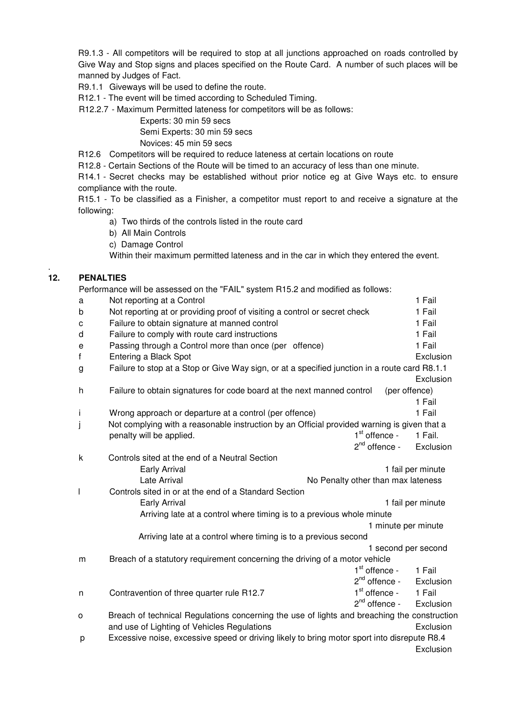R9.1.3 - All competitors will be required to stop at all junctions approached on roads controlled by Give Way and Stop signs and places specified on the Route Card. A number of such places will be manned by Judges of Fact.

R9.1.1 Giveways will be used to define the route.

R12.1 - The event will be timed according to Scheduled Timing.

R12.2.7 - Maximum Permitted lateness for competitors will be as follows:

Experts: 30 min 59 secs

Semi Experts: 30 min 59 secs

Novices: 45 min 59 secs

R12.6 Competitors will be required to reduce lateness at certain locations on route

R12.8 - Certain Sections of the Route will be timed to an accuracy of less than one minute.

R14.1 - Secret checks may be established without prior notice eg at Give Ways etc. to ensure compliance with the route.

R15.1 - To be classified as a Finisher, a competitor must report to and receive a signature at the following:

a) Two thirds of the controls listed in the route card

- b) All Main Controls
- c) Damage Control

Within their maximum permitted lateness and in the car in which they entered the event.

# **12. PENALTIES**

.

Performance will be assessed on the "FAIL" system R15.2 and modified as follows:

| a           | Not reporting at a Control                                                                    |                     | 1 Fail              |
|-------------|-----------------------------------------------------------------------------------------------|---------------------|---------------------|
| b           | Not reporting at or providing proof of visiting a control or secret check                     |                     | 1 Fail              |
| C           | Failure to obtain signature at manned control                                                 |                     | 1 Fail              |
| d           | Failure to comply with route card instructions                                                |                     | 1 Fail              |
| $\mathsf e$ | Passing through a Control more than once (per offence)                                        |                     | 1 Fail              |
| f           | Entering a Black Spot                                                                         |                     | Exclusion           |
| g           | Failure to stop at a Stop or Give Way sign, or at a specified junction in a route card R8.1.1 |                     |                     |
|             |                                                                                               |                     | Exclusion           |
| h           | Failure to obtain signatures for code board at the next manned control                        |                     | (per offence)       |
|             |                                                                                               |                     | 1 Fail              |
| İ           | Wrong approach or departure at a control (per offence)                                        |                     | 1 Fail              |
| j           | Not complying with a reasonable instruction by an Official provided warning is given that a   |                     |                     |
|             | penalty will be applied.                                                                      | $1st$ offence -     | 1 Fail.             |
|             |                                                                                               | $2nd$ offence -     | Exclusion           |
| k           | Controls sited at the end of a Neutral Section                                                |                     |                     |
|             | Early Arrival                                                                                 |                     | 1 fail per minute   |
|             | Late Arrival<br>No Penalty other than max lateness                                            |                     |                     |
| I           | Controls sited in or at the end of a Standard Section                                         |                     |                     |
|             | Early Arrival                                                                                 |                     | 1 fail per minute   |
|             | Arriving late at a control where timing is to a previous whole minute                         |                     |                     |
|             |                                                                                               | 1 minute per minute |                     |
|             | Arriving late at a control where timing is to a previous second                               |                     |                     |
|             |                                                                                               |                     | 1 second per second |
| m           | Breach of a statutory requirement concerning the driving of a motor vehicle                   |                     |                     |
|             |                                                                                               | $1st$ offence -     | 1 Fail              |
|             |                                                                                               | $2^{nd}$ offence -  | Exclusion           |
| n           | Contravention of three quarter rule R12.7                                                     | $1st$ offence -     | 1 Fail              |
|             |                                                                                               | $2nd$ offence -     | Exclusion           |
| o           | Breach of technical Regulations concerning the use of lights and breaching the construction   |                     |                     |
|             | and use of Lighting of Vehicles Regulations                                                   |                     | Exclusion           |
| р           | Excessive noise, excessive speed or driving likely to bring motor sport into disrepute R8.4   |                     |                     |
|             |                                                                                               |                     | Exclusion           |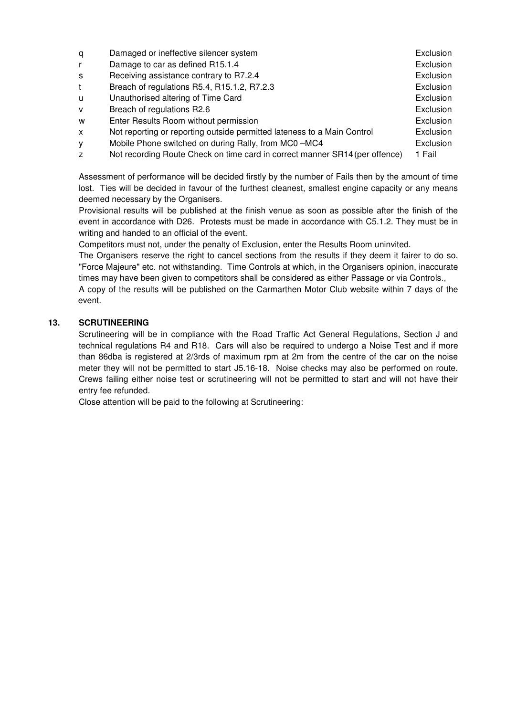| q              | Damaged or ineffective silencer system                                      | Exclusion |
|----------------|-----------------------------------------------------------------------------|-----------|
|                | Damage to car as defined R15.1.4                                            | Exclusion |
| s              | Receiving assistance contrary to R7.2.4                                     | Exclusion |
|                | Breach of regulations R5.4, R15.1.2, R7.2.3                                 | Exclusion |
| u              | Unauthorised altering of Time Card                                          | Exclusion |
| v              | Breach of regulations R2.6                                                  | Exclusion |
| W              | Enter Results Room without permission                                       | Exclusion |
| X              | Not reporting or reporting outside permitted lateness to a Main Control     | Exclusion |
| у              | Mobile Phone switched on during Rally, from MC0-MC4                         | Exclusion |
| $\overline{z}$ | Not recording Route Check on time card in correct manner SR14 (per offence) | 1 Fail    |

Assessment of performance will be decided firstly by the number of Fails then by the amount of time lost. Ties will be decided in favour of the furthest cleanest, smallest engine capacity or any means deemed necessary by the Organisers.

Provisional results will be published at the finish venue as soon as possible after the finish of the event in accordance with D26. Protests must be made in accordance with C5.1.2. They must be in writing and handed to an official of the event.

Competitors must not, under the penalty of Exclusion, enter the Results Room uninvited.

The Organisers reserve the right to cancel sections from the results if they deem it fairer to do so. "Force Majeure" etc. not withstanding. Time Controls at which, in the Organisers opinion, inaccurate times may have been given to competitors shall be considered as either Passage or via Controls.,

A copy of the results will be published on the Carmarthen Motor Club website within 7 days of the event.

# **13. SCRUTINEERING**

Scrutineering will be in compliance with the Road Traffic Act General Regulations, Section J and technical regulations R4 and R18. Cars will also be required to undergo a Noise Test and if more than 86dba is registered at 2/3rds of maximum rpm at 2m from the centre of the car on the noise meter they will not be permitted to start J5.16-18. Noise checks may also be performed on route. Crews failing either noise test or scrutineering will not be permitted to start and will not have their entry fee refunded.

Close attention will be paid to the following at Scrutineering: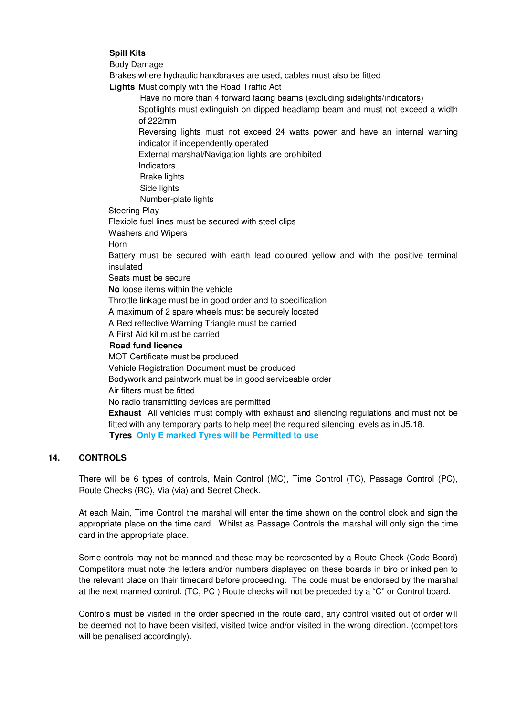## **Spill Kits**

Body Damage

Brakes where hydraulic handbrakes are used, cables must also be fitted

**Lights** Must comply with the Road Traffic Act

Have no more than 4 forward facing beams (excluding sidelights/indicators) Spotlights must extinguish on dipped headlamp beam and must not exceed a width of 222mm

Reversing lights must not exceed 24 watts power and have an internal warning indicator if independently operated

External marshal/Navigation lights are prohibited

Indicators

Brake lights

Side lights

Number-plate lights

Steering Play

Flexible fuel lines must be secured with steel clips

Washers and Wipers

Horn

Battery must be secured with earth lead coloured yellow and with the positive terminal insulated

Seats must be secure

**No** loose items within the vehicle

Throttle linkage must be in good order and to specification

A maximum of 2 spare wheels must be securely located

A Red reflective Warning Triangle must be carried

A First Aid kit must be carried

### **Road fund licence**

MOT Certificate must be produced

Vehicle Registration Document must be produced

Bodywork and paintwork must be in good serviceable order

Air filters must be fitted

No radio transmitting devices are permitted

**Exhaust** All vehicles must comply with exhaust and silencing regulations and must not be fitted with any temporary parts to help meet the required silencing levels as in J5.18. **Tyres Only E marked Tyres will be Permitted to use**

# **14. CONTROLS**

There will be 6 types of controls, Main Control (MC), Time Control (TC), Passage Control (PC), Route Checks (RC), Via (via) and Secret Check.

At each Main, Time Control the marshal will enter the time shown on the control clock and sign the appropriate place on the time card. Whilst as Passage Controls the marshal will only sign the time card in the appropriate place.

Some controls may not be manned and these may be represented by a Route Check (Code Board) Competitors must note the letters and/or numbers displayed on these boards in biro or inked pen to the relevant place on their timecard before proceeding. The code must be endorsed by the marshal at the next manned control. (TC, PC ) Route checks will not be preceded by a "C" or Control board.

Controls must be visited in the order specified in the route card, any control visited out of order will be deemed not to have been visited, visited twice and/or visited in the wrong direction. (competitors will be penalised accordingly).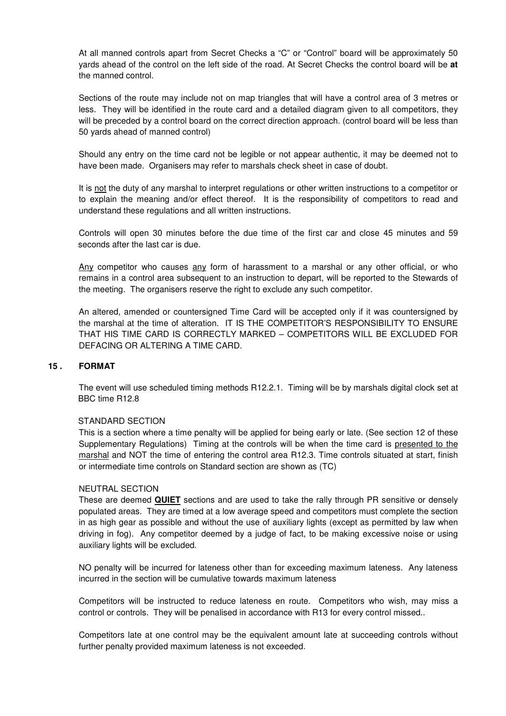At all manned controls apart from Secret Checks a "C" or "Control" board will be approximately 50 yards ahead of the control on the left side of the road. At Secret Checks the control board will be **at** the manned control.

Sections of the route may include not on map triangles that will have a control area of 3 metres or less. They will be identified in the route card and a detailed diagram given to all competitors, they will be preceded by a control board on the correct direction approach. (control board will be less than 50 yards ahead of manned control)

Should any entry on the time card not be legible or not appear authentic, it may be deemed not to have been made. Organisers may refer to marshals check sheet in case of doubt.

It is not the duty of any marshal to interpret regulations or other written instructions to a competitor or to explain the meaning and/or effect thereof. It is the responsibility of competitors to read and understand these regulations and all written instructions.

Controls will open 30 minutes before the due time of the first car and close 45 minutes and 59 seconds after the last car is due.

Any competitor who causes any form of harassment to a marshal or any other official, or who remains in a control area subsequent to an instruction to depart, will be reported to the Stewards of the meeting. The organisers reserve the right to exclude any such competitor.

An altered, amended or countersigned Time Card will be accepted only if it was countersigned by the marshal at the time of alteration. IT IS THE COMPETITOR'S RESPONSIBILITY TO ENSURE THAT HIS TIME CARD IS CORRECTLY MARKED – COMPETITORS WILL BE EXCLUDED FOR DEFACING OR ALTERING A TIME CARD.

### **15 . FORMAT**

The event will use scheduled timing methods R12.2.1. Timing will be by marshals digital clock set at BBC time R12.8

#### STANDARD SECTION

This is a section where a time penalty will be applied for being early or late. (See section 12 of these Supplementary Regulations) Timing at the controls will be when the time card is presented to the marshal and NOT the time of entering the control area R12.3. Time controls situated at start, finish or intermediate time controls on Standard section are shown as (TC)

#### NEUTRAL SECTION

These are deemed **QUIET** sections and are used to take the rally through PR sensitive or densely populated areas. They are timed at a low average speed and competitors must complete the section in as high gear as possible and without the use of auxiliary lights (except as permitted by law when driving in fog). Any competitor deemed by a judge of fact, to be making excessive noise or using auxiliary lights will be excluded.

NO penalty will be incurred for lateness other than for exceeding maximum lateness. Any lateness incurred in the section will be cumulative towards maximum lateness

Competitors will be instructed to reduce lateness en route. Competitors who wish, may miss a control or controls. They will be penalised in accordance with R13 for every control missed..

Competitors late at one control may be the equivalent amount late at succeeding controls without further penalty provided maximum lateness is not exceeded.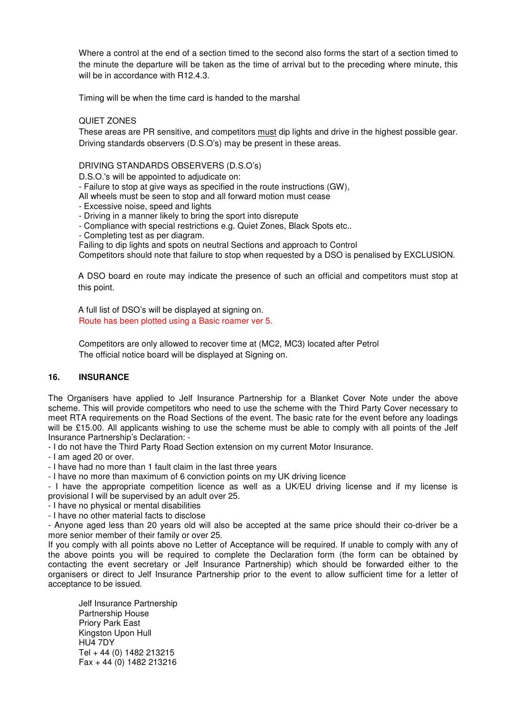Where a control at the end of a section timed to the second also forms the start of a section timed to the minute the departure will be taken as the time of arrival but to the preceding where minute, this will be in accordance with R12.4.3.

Timing will be when the time card is handed to the marshal

## QUIET ZONES

These areas are PR sensitive, and competitors must dip lights and drive in the highest possible gear. Driving standards observers (D.S.O's) may be present in these areas.

### DRIVING STANDARDS OBSERVERS (D.S.O's)

D.S.O.'s will be appointed to adjudicate on:

- Failure to stop at give ways as specified in the route instructions (GW),

All wheels must be seen to stop and all forward motion must cease

- Excessive noise, speed and lights
- Driving in a manner likely to bring the sport into disrepute
- Compliance with special restrictions e.g. Quiet Zones, Black Spots etc..
- Completing test as per diagram.

Failing to dip lights and spots on neutral Sections and approach to Control

Competitors should note that failure to stop when requested by a DSO is penalised by EXCLUSION.

A DSO board en route may indicate the presence of such an official and competitors must stop at this point.

A full list of DSO's will be displayed at signing on. Route has been plotted using a Basic roamer ver 5.

Competitors are only allowed to recover time at (MC2, MC3) located after Petrol The official notice board will be displayed at Signing on.

# **16. INSURANCE**

The Organisers have applied to Jelf Insurance Partnership for a Blanket Cover Note under the above scheme. This will provide competitors who need to use the scheme with the Third Party Cover necessary to meet RTA requirements on the Road Sections of the event. The basic rate for the event before any loadings will be £15.00. All applicants wishing to use the scheme must be able to comply with all points of the Jelf Insurance Partnership's Declaration: -

- I do not have the Third Party Road Section extension on my current Motor Insurance.

- I am aged 20 or over.

- I have had no more than 1 fault claim in the last three years

- I have no more than maximum of 6 conviction points on my UK driving licence

- I have the appropriate competition licence as well as a UK/EU driving license and if my license is provisional I will be supervised by an adult over 25.

- I have no physical or mental disabilities

- I have no other material facts to disclose

- Anyone aged less than 20 years old will also be accepted at the same price should their co-driver be a more senior member of their family or over 25.

If you comply with all points above no Letter of Acceptance will be required. If unable to comply with any of the above points you will be required to complete the Declaration form (the form can be obtained by contacting the event secretary or Jelf Insurance Partnership) which should be forwarded either to the organisers or direct to Jelf Insurance Partnership prior to the event to allow sufficient time for a letter of acceptance to be issued.

Jelf Insurance Partnership Partnership House Priory Park East Kingston Upon Hull HU4 7DY Tel + 44 (0) 1482 213215 Fax + 44 (0) 1482 213216